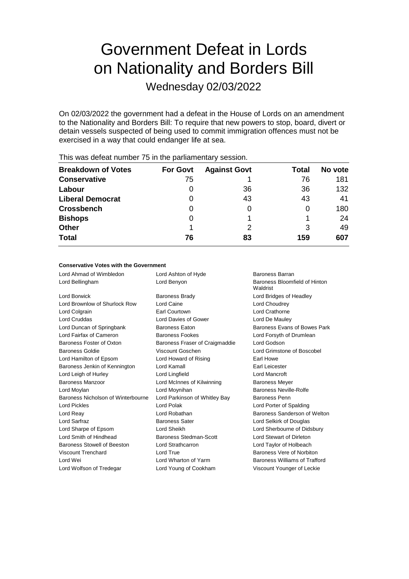# Government Defeat in Lords on Nationality and Borders Bill

Wednesday 02/03/2022

On 02/03/2022 the government had a defeat in the House of Lords on an amendment to the Nationality and Borders Bill: To require that new powers to stop, board, divert or detain vessels suspected of being used to commit immigration offences must not be exercised in a way that could endanger life at sea.

| <b>Breakdown of Votes</b><br><b>Against Govt</b><br><b>For Govt</b><br>Total<br><b>Conservative</b><br>76<br>75<br>36<br>Labour<br>36<br>O<br>43<br>43<br><b>Liberal Democrat</b><br>0<br><b>Crossbench</b><br>0<br>0<br><b>Bishops</b><br>0<br><b>Other</b><br>3<br><b>Total</b><br>76<br>83<br>159 |         |
|------------------------------------------------------------------------------------------------------------------------------------------------------------------------------------------------------------------------------------------------------------------------------------------------------|---------|
|                                                                                                                                                                                                                                                                                                      | No vote |
|                                                                                                                                                                                                                                                                                                      | 181     |
|                                                                                                                                                                                                                                                                                                      | 132     |
|                                                                                                                                                                                                                                                                                                      | 41      |
|                                                                                                                                                                                                                                                                                                      | 180     |
|                                                                                                                                                                                                                                                                                                      | 24      |
|                                                                                                                                                                                                                                                                                                      | 49      |
|                                                                                                                                                                                                                                                                                                      | 607     |

This was defeat number 75 in the parliamentary session.

## **Conservative Votes with the Government**

| Lord Ahmad of Wimbledon            | Lord Ashton of Hyde            | Baroness Barran                           |
|------------------------------------|--------------------------------|-------------------------------------------|
| Lord Bellingham                    | Lord Benyon                    | Baroness Bloomfield of Hinton<br>Waldrist |
| Lord Borwick                       | <b>Baroness Brady</b>          | Lord Bridges of Headley                   |
| Lord Brownlow of Shurlock Row      | Lord Caine                     | Lord Choudrey                             |
| Lord Colgrain                      | Earl Courtown                  | Lord Crathorne                            |
| Lord Cruddas                       | Lord Davies of Gower           | Lord De Mauley                            |
| Lord Duncan of Springbank          | <b>Baroness Eaton</b>          | Baroness Evans of Bowes Park              |
| Lord Fairfax of Cameron            | <b>Baroness Fookes</b>         | Lord Forsyth of Drumlean                  |
| Baroness Foster of Oxton           | Baroness Fraser of Craigmaddie | Lord Godson                               |
| <b>Baroness Goldie</b>             | Viscount Goschen               | Lord Grimstone of Boscobel                |
| Lord Hamilton of Epsom             | Lord Howard of Rising          | Earl Howe                                 |
| Baroness Jenkin of Kennington      | Lord Kamall                    | Earl Leicester                            |
| Lord Leigh of Hurley               | Lord Lingfield                 | Lord Mancroft                             |
| Baroness Manzoor                   | Lord McInnes of Kilwinning     | <b>Baroness Meyer</b>                     |
| Lord Moylan                        | Lord Moynihan                  | Baroness Neville-Rolfe                    |
| Baroness Nicholson of Winterbourne | Lord Parkinson of Whitley Bay  | Baroness Penn                             |
| <b>Lord Pickles</b>                | Lord Polak                     | Lord Porter of Spalding                   |
| Lord Reay                          | Lord Robathan                  | Baroness Sanderson of Welton              |
| Lord Sarfraz                       | <b>Baroness Sater</b>          | Lord Selkirk of Douglas                   |
| Lord Sharpe of Epsom               | Lord Sheikh                    | Lord Sherbourne of Didsbury               |
| Lord Smith of Hindhead             | Baroness Stedman-Scott         | Lord Stewart of Dirleton                  |
| Baroness Stowell of Beeston        | Lord Strathcarron              | Lord Taylor of Holbeach                   |
| Viscount Trenchard                 | Lord True                      | Baroness Vere of Norbiton                 |
| Lord Wei                           | Lord Wharton of Yarm           | Baroness Williams of Trafford             |
| Lord Wolfson of Tredegar           | Lord Young of Cookham          | Viscount Younger of Leckie                |
|                                    |                                |                                           |